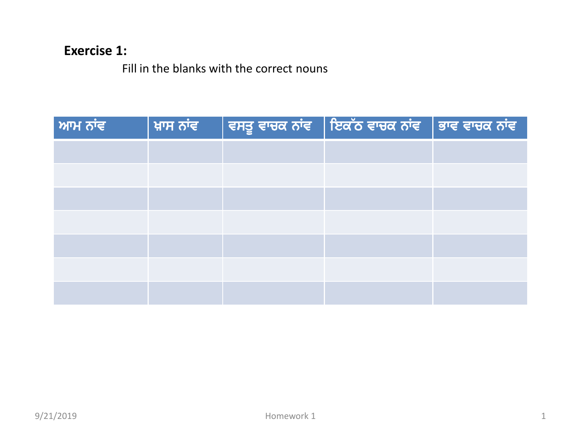## **Exercise 1:**

Fill in the blanks with the correct nouns

| ਆਮ ਨਾਂਵ |  | ਖ਼ਾਸ ਨਾਂਵ       ਵਸਤੂ ਵਾਚਕ ਨਾਂਵ    ਇਕੱਠ ਵਾਚਕ ਨਾਂਵ    ਭਾਵ ਵਾਚਕ ਨਾਂਵ |  |
|---------|--|-------------------------------------------------------------------|--|
|         |  |                                                                   |  |
|         |  |                                                                   |  |
|         |  |                                                                   |  |
|         |  |                                                                   |  |
|         |  |                                                                   |  |
|         |  |                                                                   |  |
|         |  |                                                                   |  |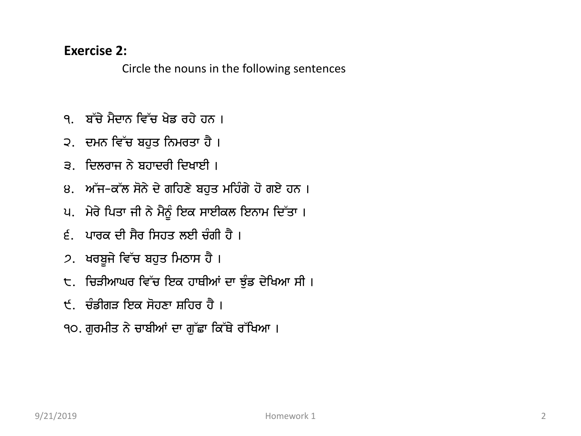## **Exercise 2:**

Circle the nouns in the following sentences

- ੧. ਬੱਚੇ ਮੈਦਾਨ ਵਿੱਚ ਖੇਡ ਰਹੇ ਹਨ ।
- ੨. ਦਮਨ ਵਿੱਚ ਬਹੁਤ ਨਿਮਰਤਾ ਹੈ ।
- ੩. ਦਿਲਰਾਜ ਨੇ ਬਹਾਦਰੀ ਦਿਖਾਈ ।
- ੪. ਅੱਜ-ਕੱਲ ਸੋਨੇ ਦੇ ਗਹਿਣੇ ਬਹੁਤ ਮਹਿੰਗੇ ਹੋ ਗਏ ਹਨ ।
- ਪ. ਮੇਰੇ ਪਿਤਾ ਜੀ ਨੇ ਮੈਨੂੰ ਇਕ ਸਾਈਕਲ ਇਨਾਮ ਦਿੱਤਾ।
- $\epsilon$ ੁ ਪਾਰਕ ਦੀ ਸੈਰ ਸਿਹਤ ਲਈ ਚੰਗੀ ਹੈ ।
- 2. ਖਰਬੁਜੇ ਵਿੱਚ ਬਹੁਤ ਮਿਠਾਸ ਹੈ ।
- ੮. ਚਿੜੀਆਘਰ ਵਿੱਚ ਇਕ ਹਾਥੀਆਂ ਦਾ ਝੁੰਡ ਦੇਖਿਆ ਸੀ ।
- ੯. ਚੰਡੀਗੜ ਇਕ ਸੋਹਣਾ ਸ਼ਹਿਰ ਹੈ ।
- ੧੦. ਗੁਰਮੀਤ ਨੇ ਚਾਬੀਆਂ ਦਾ ਗੁੱਛਾ ਕਿੱਥੇ ਰੱਖਿਆ ।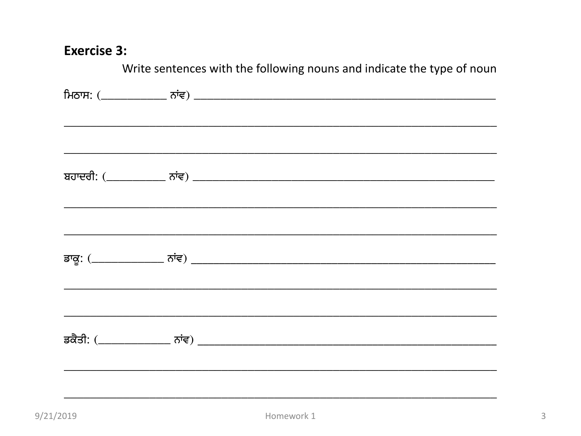## **Exercise 3:**

| Write sentences with the following nouns and indicate the type of noun |  |  |  |  |  |
|------------------------------------------------------------------------|--|--|--|--|--|
|                                                                        |  |  |  |  |  |
|                                                                        |  |  |  |  |  |
|                                                                        |  |  |  |  |  |
|                                                                        |  |  |  |  |  |
|                                                                        |  |  |  |  |  |
|                                                                        |  |  |  |  |  |